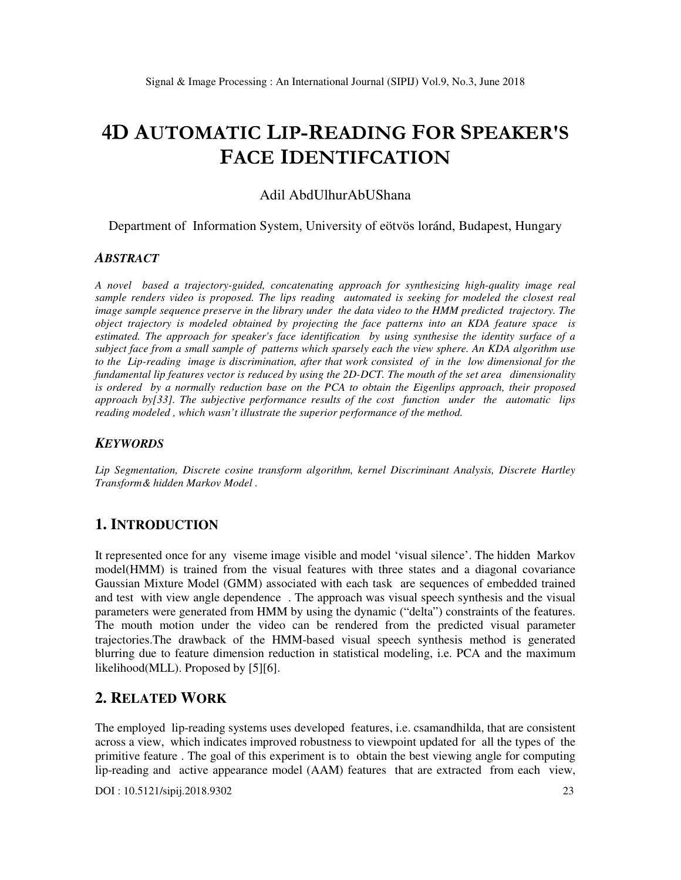# **4D AUTOMATIC LIP-READING FOR SPEAKER'S FACE IDENTIFCATION**

## Adil AbdUlhurAbUShana

Department of Information System, University of eötvös loránd, Budapest, Hungary

#### *ABSTRACT*

*A novel based a trajectory-guided, concatenating approach for synthesizing high-quality image real sample renders video is proposed. The lips reading automated is seeking for modeled the closest real image sample sequence preserve in the library under the data video to the HMM predicted trajectory. The object trajectory is modeled obtained by projecting the face patterns into an KDA feature space is estimated. The approach for speaker's face identification by using synthesise the identity surface of a subject face from a small sample of patterns which sparsely each the view sphere. An KDA algorithm use to the Lip-reading image is discrimination, after that work consisted of in the low dimensional for the fundamental lip features vector is reduced by using the 2D-DCT. The mouth of the set area dimensionality is ordered by a normally reduction base on the PCA to obtain the Eigenlips approach, their proposed approach by[33]. The subjective performance results of the cost function under the automatic lips reading modeled , which wasn't illustrate the superior performance of the method.* 

#### *KEYWORDS*

*Lip Segmentation, Discrete cosine transform algorithm, kernel Discriminant Analysis, Discrete Hartley Transform& hidden Markov Model .* 

# **1. INTRODUCTION**

It represented once for any viseme image visible and model 'visual silence'. The hidden Markov model(HMM) is trained from the visual features with three states and a diagonal covariance Gaussian Mixture Model (GMM) associated with each task are sequences of embedded trained and test with view angle dependence . The approach was visual speech synthesis and the visual parameters were generated from HMM by using the dynamic ("delta") constraints of the features. The mouth motion under the video can be rendered from the predicted visual parameter trajectories.The drawback of the HMM-based visual speech synthesis method is generated blurring due to feature dimension reduction in statistical modeling, i.e. PCA and the maximum likelihood(MLL). Proposed by [5][6].

# **2. RELATED WORK**

The employed lip-reading systems uses developed features, i.e. csamandhilda, that are consistent across a view, which indicates improved robustness to viewpoint updated for all the types of the primitive feature . The goal of this experiment is to obtain the best viewing angle for computing lip-reading and active appearance model (AAM) features that are extracted from each view,

DOI : 10.5121/sipij.2018.9302 23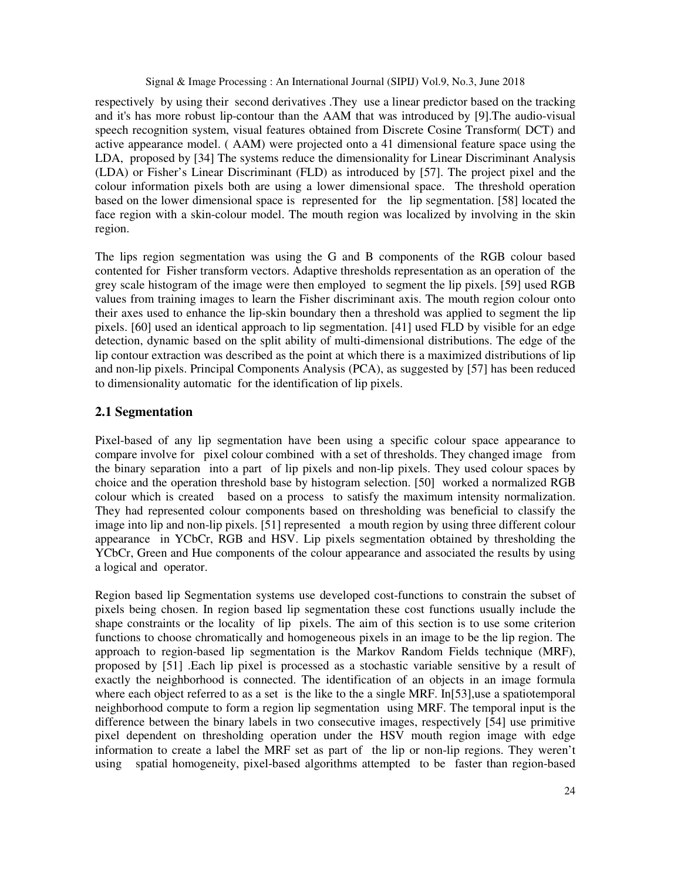respectively by using their second derivatives .They use a linear predictor based on the tracking and it's has more robust lip-contour than the AAM that was introduced by [9].The audio-visual speech recognition system, visual features obtained from Discrete Cosine Transform( DCT) and active appearance model. ( AAM) were projected onto a 41 dimensional feature space using the LDA, proposed by [34] The systems reduce the dimensionality for Linear Discriminant Analysis (LDA) or Fisher's Linear Discriminant (FLD) as introduced by [57]. The project pixel and the colour information pixels both are using a lower dimensional space. The threshold operation based on the lower dimensional space is represented for the lip segmentation. [58] located the face region with a skin-colour model. The mouth region was localized by involving in the skin region.

The lips region segmentation was using the G and B components of the RGB colour based contented for Fisher transform vectors. Adaptive thresholds representation as an operation of the grey scale histogram of the image were then employed to segment the lip pixels. [59] used RGB values from training images to learn the Fisher discriminant axis. The mouth region colour onto their axes used to enhance the lip-skin boundary then a threshold was applied to segment the lip pixels. [60] used an identical approach to lip segmentation. [41] used FLD by visible for an edge detection, dynamic based on the split ability of multi-dimensional distributions. The edge of the lip contour extraction was described as the point at which there is a maximized distributions of lip and non-lip pixels. Principal Components Analysis (PCA), as suggested by [57] has been reduced to dimensionality automatic for the identification of lip pixels.

## **2.1 Segmentation**

Pixel-based of any lip segmentation have been using a specific colour space appearance to compare involve for pixel colour combined with a set of thresholds. They changed image from the binary separation into a part of lip pixels and non-lip pixels. They used colour spaces by choice and the operation threshold base by histogram selection. [50] worked a normalized RGB colour which is created based on a process to satisfy the maximum intensity normalization. They had represented colour components based on thresholding was beneficial to classify the image into lip and non-lip pixels. [51] represented a mouth region by using three different colour appearance in YCbCr, RGB and HSV. Lip pixels segmentation obtained by thresholding the YCbCr, Green and Hue components of the colour appearance and associated the results by using a logical and operator.

Region based lip Segmentation systems use developed cost-functions to constrain the subset of pixels being chosen. In region based lip segmentation these cost functions usually include the shape constraints or the locality of lip pixels. The aim of this section is to use some criterion functions to choose chromatically and homogeneous pixels in an image to be the lip region. The approach to region-based lip segmentation is the Markov Random Fields technique (MRF), proposed by [51] .Each lip pixel is processed as a stochastic variable sensitive by a result of exactly the neighborhood is connected. The identification of an objects in an image formula where each object referred to as a set is the like to the a single MRF. In [53], use a spatiotemporal neighborhood compute to form a region lip segmentation using MRF. The temporal input is the difference between the binary labels in two consecutive images, respectively [54] use primitive pixel dependent on thresholding operation under the HSV mouth region image with edge information to create a label the MRF set as part of the lip or non-lip regions. They weren't using spatial homogeneity, pixel-based algorithms attempted to be faster than region-based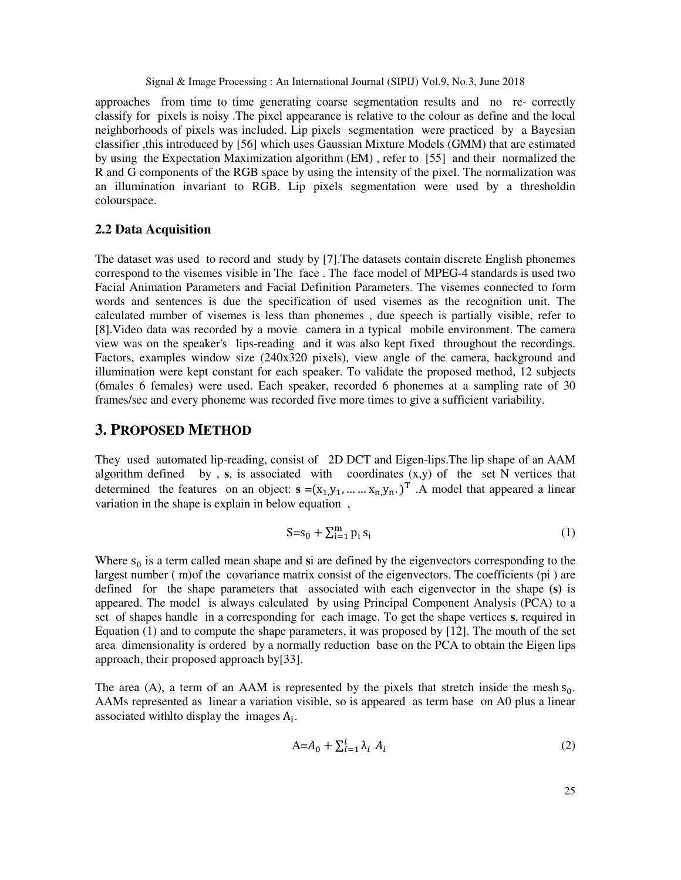approaches from time to time generating coarse segmentation results and no re- correctly classify for pixels is noisy .The pixel appearance is relative to the colour as define and the local neighborhoods of pixels was included. Lip pixels segmentation were practiced by a Bayesian classifier ,this introduced by [56] which uses Gaussian Mixture Models (GMM) that are estimated by using the Expectation Maximization algorithm (EM) , refer to [55] and their normalized the R and G components of the RGB space by using the intensity of the pixel. The normalization was an illumination invariant to RGB. Lip pixels segmentation were used by a thresholdin colourspace.

#### **2.2 Data Acquisition**

The dataset was used to record and study by [7].The datasets contain discrete English phonemes correspond to the visemes visible in The face . The face model of MPEG-4 standards is used two Facial Animation Parameters and Facial Definition Parameters. The visemes connected to form words and sentences is due the specification of used visemes as the recognition unit. The calculated number of visemes is less than phonemes , due speech is partially visible, refer to [8].Video data was recorded by a movie camera in a typical mobile environment. The camera view was on the speaker's lips-reading and it was also kept fixed throughout the recordings. Factors, examples window size (240x320 pixels), view angle of the camera, background and illumination were kept constant for each speaker. To validate the proposed method, 12 subjects (6males 6 females) were used. Each speaker, recorded 6 phonemes at a sampling rate of 30 frames/sec and every phoneme was recorded five more times to give a sufficient variability.

# **3. PROPOSED METHOD**

They used automated lip-reading, consist of 2D DCT and Eigen-lips.The lip shape of an AAM algorithm defined by , **s**, is associated with coordinates (x,y) of the set N vertices that determined the features on an object:  $\mathbf{s} = (x_1, y_1, \dots, x_n, y_n)$ <sup>T</sup>. A model that appeared a linear variation in the shape is explain in below equation ,

$$
S = s_0 + \sum_{i=1}^{m} p_i s_i \tag{1}
$$

Where  $s_0$  is a term called mean shape and si are defined by the eigenvectors corresponding to the largest number ( m)of the covariance matrix consist of the eigenvectors. The coefficients (pi ) are defined for the shape parameters that associated with each eigenvector in the shape **(s)** is appeared. The model is always calculated by using Principal Component Analysis (PCA) to a set of shapes handle in a corresponding for each image. To get the shape vertices **s**, required in Equation  $(1)$  and to compute the shape parameters, it was proposed by  $[12]$ . The mouth of the set area dimensionality is ordered by a normally reduction base on the PCA to obtain the Eigen lips approach, their proposed approach by[33].

The area (A), a term of an AAM is represented by the pixels that stretch inside the mesh  $s_0$ . AAMs represented as linear a variation visible, so is appeared as term base on A0 plus a linear associated with to display the images  $A_i$ .

$$
A = A_0 + \sum_{i=1}^{l} \lambda_i A_i \tag{2}
$$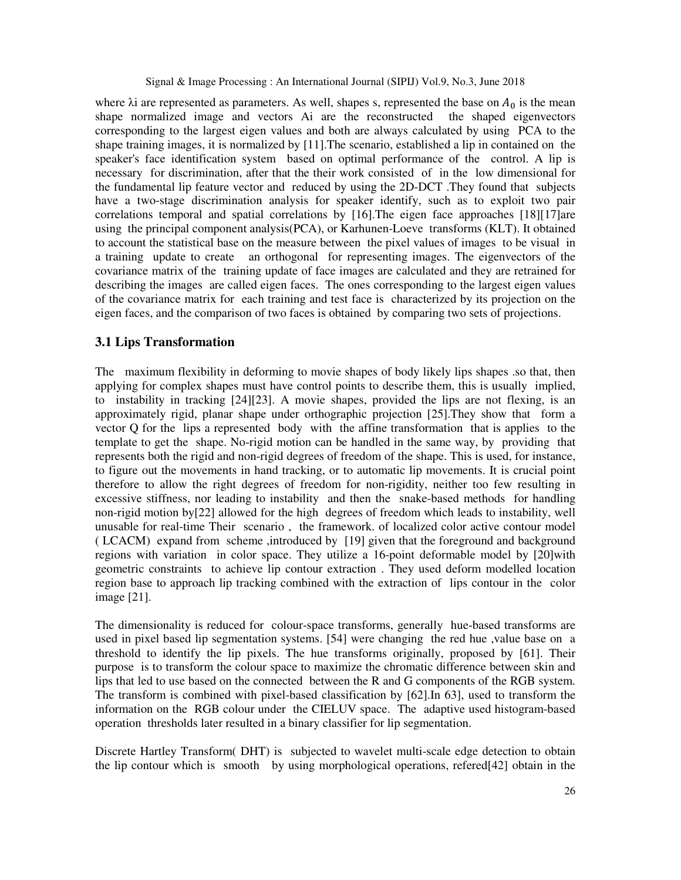where  $\lambda$ i are represented as parameters. As well, shapes s, represented the base on  $A_0$  is the mean shape normalized image and vectors Ai are the reconstructed the shaped eigenvectors corresponding to the largest eigen values and both are always calculated by using PCA to the shape training images, it is normalized by [11].The scenario, established a lip in contained on the speaker's face identification system based on optimal performance of the control. A lip is necessary for discrimination, after that the their work consisted of in the low dimensional for the fundamental lip feature vector and reduced by using the 2D-DCT .They found that subjects have a two-stage discrimination analysis for speaker identify, such as to exploit two pair correlations temporal and spatial correlations by [16].The eigen face approaches [18][17]are using the principal component analysis(PCA), or Karhunen-Loeve transforms (KLT). It obtained to account the statistical base on the measure between the pixel values of images to be visual in a training update to create an orthogonal for representing images. The eigenvectors of the covariance matrix of the training update of face images are calculated and they are retrained for describing the images are called eigen faces. The ones corresponding to the largest eigen values of the covariance matrix for each training and test face is characterized by its projection on the eigen faces, and the comparison of two faces is obtained by comparing two sets of projections.

## **3.1 Lips Transformation**

The maximum flexibility in deforming to movie shapes of body likely lips shapes .so that, then applying for complex shapes must have control points to describe them, this is usually implied, to instability in tracking [24][23]. A movie shapes, provided the lips are not flexing, is an approximately rigid, planar shape under orthographic projection [25].They show that form a vector Q for the lips a represented body with the affine transformation that is applies to the template to get the shape. No-rigid motion can be handled in the same way, by providing that represents both the rigid and non-rigid degrees of freedom of the shape. This is used, for instance, to figure out the movements in hand tracking, or to automatic lip movements. It is crucial point therefore to allow the right degrees of freedom for non-rigidity, neither too few resulting in excessive stiffness, nor leading to instability and then the snake-based methods for handling non-rigid motion by[22] allowed for the high degrees of freedom which leads to instability, well unusable for real-time Their scenario , the framework. of localized color active contour model ( LCACM) expand from scheme ,introduced by [19] given that the foreground and background regions with variation in color space. They utilize a 16-point deformable model by [20]with geometric constraints to achieve lip contour extraction . They used deform modelled location region base to approach lip tracking combined with the extraction of lips contour in the color image [21].

The dimensionality is reduced for colour-space transforms, generally hue-based transforms are used in pixel based lip segmentation systems. [54] were changing the red hue ,value base on a threshold to identify the lip pixels. The hue transforms originally, proposed by [61]. Their purpose is to transform the colour space to maximize the chromatic difference between skin and lips that led to use based on the connected between the R and G components of the RGB system. The transform is combined with pixel-based classification by [62].In 63], used to transform the information on the RGB colour under the CIELUV space. The adaptive used histogram-based operation thresholds later resulted in a binary classifier for lip segmentation.

Discrete Hartley Transform( DHT) is subjected to wavelet multi-scale edge detection to obtain the lip contour which is smooth by using morphological operations, refered[42] obtain in the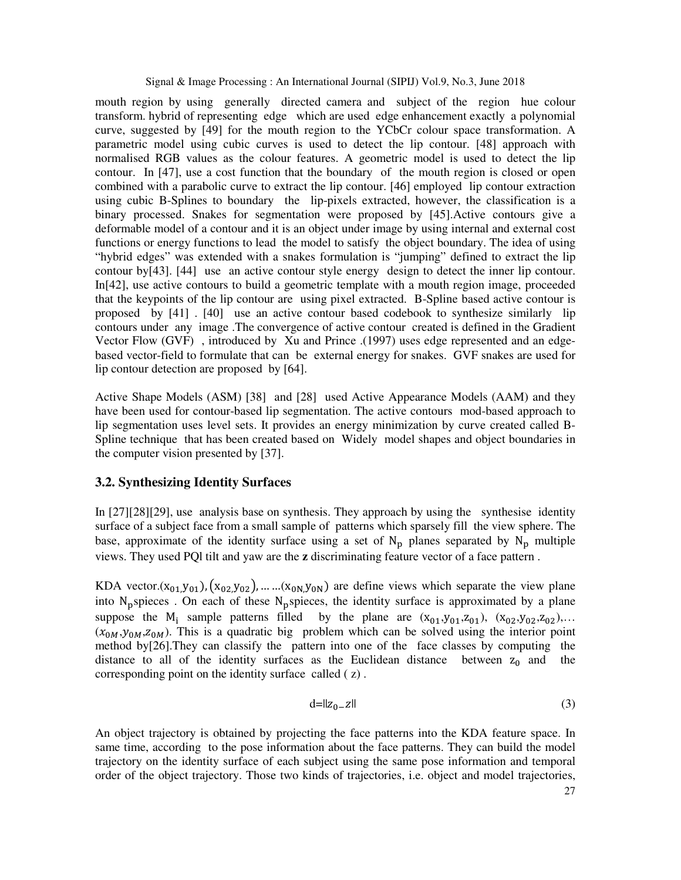mouth region by using generally directed camera and subject of the region hue colour transform. hybrid of representing edge which are used edge enhancement exactly a polynomial curve, suggested by [49] for the mouth region to the YCbCr colour space transformation. A parametric model using cubic curves is used to detect the lip contour. [48] approach with normalised RGB values as the colour features. A geometric model is used to detect the lip contour. In [47], use a cost function that the boundary of the mouth region is closed or open combined with a parabolic curve to extract the lip contour. [46] employed lip contour extraction using cubic B-Splines to boundary the lip-pixels extracted, however, the classification is a binary processed. Snakes for segmentation were proposed by [45].Active contours give a deformable model of a contour and it is an object under image by using internal and external cost functions or energy functions to lead the model to satisfy the object boundary. The idea of using "hybrid edges" was extended with a snakes formulation is "jumping" defined to extract the lip contour by[43]. [44] use an active contour style energy design to detect the inner lip contour. In[42], use active contours to build a geometric template with a mouth region image, proceeded that the keypoints of the lip contour are using pixel extracted. B-Spline based active contour is proposed by [41] . [40] use an active contour based codebook to synthesize similarly lip contours under any image .The convergence of active contour created is defined in the Gradient Vector Flow (GVF) , introduced by Xu and Prince .(1997) uses edge represented and an edgebased vector-field to formulate that can be external energy for snakes. GVF snakes are used for lip contour detection are proposed by [64].

Active Shape Models (ASM) [38] and [28] used Active Appearance Models (AAM) and they have been used for contour-based lip segmentation. The active contours mod-based approach to lip segmentation uses level sets. It provides an energy minimization by curve created called B-Spline technique that has been created based on Widely model shapes and object boundaries in the computer vision presented by [37].

## **3.2. Synthesizing Identity Surfaces**

In [27][28][29], use analysis base on synthesis. They approach by using the synthesise identity surface of a subject face from a small sample of patterns which sparsely fill the view sphere. The base, approximate of the identity surface using a set of  $N_p$  planes separated by  $N_p$  multiple views. They used PQl tilt and yaw are the **z** discriminating feature vector of a face pattern .

KDA vector. $(x_{01},y_{01})$ ,  $(x_{02},y_{02})$ , … … $(x_{0N},y_{0N})$  are define views which separate the view plane into  $N_{\text{p}}$  spieces. On each of these  $N_{\text{p}}$  spieces, the identity surface is approximated by a plane suppose the  $M_1$  sample patterns filled by the plane are  $(x_{01},y_{01},z_{01})$ ,  $(x_{02},y_{02},z_{02})$ ,...  $(x_{0M}, y_{0M}, z_{0M})$ . This is a quadratic big problem which can be solved using the interior point method by[26].They can classify the pattern into one of the face classes by computing the distance to all of the identity surfaces as the Euclidean distance between  $z_0$  and the corresponding point on the identity surface called ( z) .

$$
d = \|z_0 - z\| \tag{3}
$$

An object trajectory is obtained by projecting the face patterns into the KDA feature space. In same time, according to the pose information about the face patterns. They can build the model trajectory on the identity surface of each subject using the same pose information and temporal order of the object trajectory. Those two kinds of trajectories, i.e. object and model trajectories,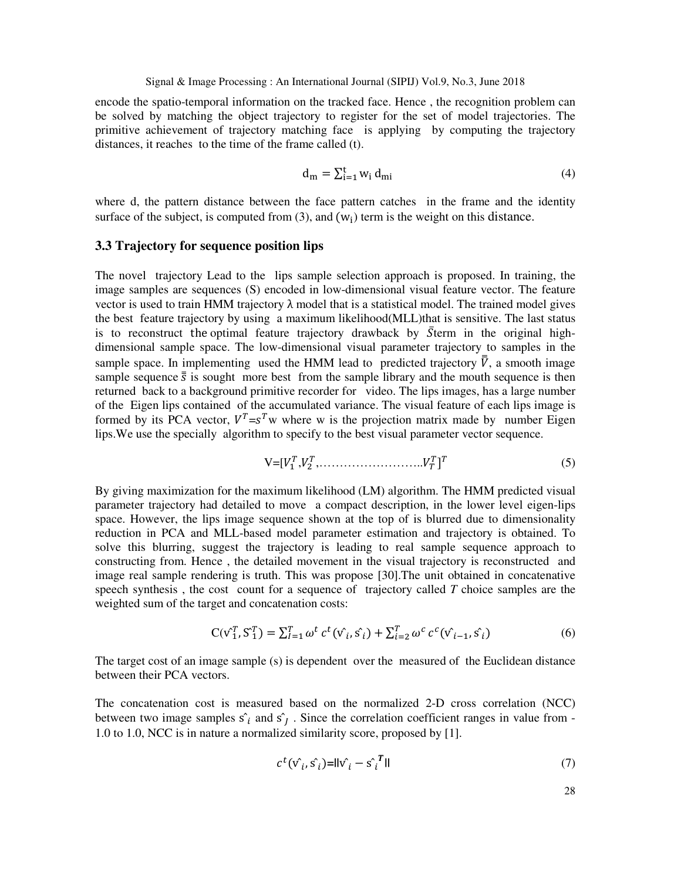encode the spatio-temporal information on the tracked face. Hence , the recognition problem can be solved by matching the object trajectory to register for the set of model trajectories. The primitive achievement of trajectory matching face is applying by computing the trajectory distances, it reaches to the time of the frame called (t).

$$
\mathbf{d}_{\mathbf{m}} = \sum_{i=1}^{\mathbf{t}} w_i \, \mathbf{d}_{\mathbf{m}i} \tag{4}
$$

where d, the pattern distance between the face pattern catches in the frame and the identity surface of the subject, is computed from  $(3)$ , and  $(w_i)$  term is the weight on this distance.

#### **3.3 Trajectory for sequence position lips**

The novel trajectory Lead to the lips sample selection approach is proposed. In training, the image samples are sequences (S) encoded in low-dimensional visual feature vector. The feature vector is used to train HMM trajectory  $\lambda$  model that is a statistical model. The trained model gives the best feature trajectory by using a maximum likelihood(MLL)that is sensitive. The last status is to reconstruct the optimal feature trajectory drawback by  $\bar{S}$ term in the original highdimensional sample space. The low-dimensional visual parameter trajectory to samples in the sample space. In implementing used the HMM lead to predicted trajectory  $\overline{V}$ , a smooth image sample sequence  $\bar{\bar{s}}$  is sought more best from the sample library and the mouth sequence is then returned back to a background primitive recorder for video. The lips images, has a large number of the Eigen lips contained of the accumulated variance. The visual feature of each lips image is formed by its PCA vector,  $V^T = s^T w$  where w is the projection matrix made by number Eigen lips.We use the specially algorithm to specify to the best visual parameter vector sequence.

$$
V = [V_1^T, V_2^T, \dots, \dots, \dots, V_T^T]^T
$$
\n(5)

By giving maximization for the maximum likelihood (LM) algorithm. The HMM predicted visual parameter trajectory had detailed to move a compact description, in the lower level eigen-lips space. However, the lips image sequence shown at the top of is blurred due to dimensionality reduction in PCA and MLL-based model parameter estimation and trajectory is obtained. To solve this blurring, suggest the trajectory is leading to real sample sequence approach to constructing from. Hence , the detailed movement in the visual trajectory is reconstructed and image real sample rendering is truth. This was propose [30].The unit obtained in concatenative speech synthesis , the cost count for a sequence of trajectory called *T* choice samples are the weighted sum of the target and concatenation costs:

$$
C(v_1^T, S_1^T) = \sum_{i=1}^T \omega^t c^t (v_i^*, s_i^*) + \sum_{i=2}^T \omega^c c^c (v_{i-1}^*, s_i^*)
$$
(6)

The target cost of an image sample (s) is dependent over the measured of the Euclidean distance between their PCA vectors.

The concatenation cost is measured based on the normalized 2-D cross correlation (NCC) between two image samples  $\hat{s_i}$  and  $\hat{s_j}$ . Since the correlation coefficient ranges in value from -1.0 to 1.0, NCC is in nature a normalized similarity score, proposed by [1].

$$
c^t(\hat{\mathbf{v}_i}, \hat{\mathbf{s}_i}) = ||\hat{\mathbf{v}_i} - \hat{\mathbf{s}_i}^T||
$$
\n<sup>(7)</sup>

28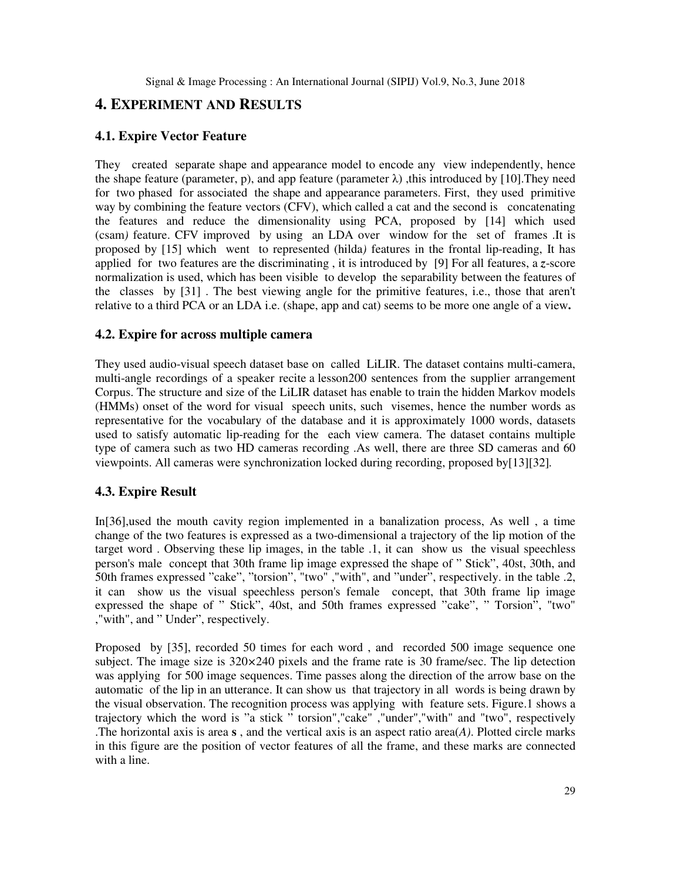# **4. EXPERIMENT AND RESULTS**

## **4.1. Expire Vector Feature**

They created separate shape and appearance model to encode any view independently, hence the shape feature (parameter, p), and app feature (parameter  $\lambda$ ), this introduced by [10]. They need for two phased for associated the shape and appearance parameters. First, they used primitive way by combining the feature vectors (CFV), which called a cat and the second is concatenating the features and reduce the dimensionality using PCA, proposed by [14] which used (csam*)* feature. CFV improved by using an LDA over window for the set of frames .It is proposed by [15] which went to represented (hilda*)* features in the frontal lip-reading, It has applied for two features are the discriminating , it is introduced by [9] For all features, a *z*-score normalization is used, which has been visible to develop the separability between the features of the classes by [31] . The best viewing angle for the primitive features, i.e., those that aren't relative to a third PCA or an LDA i.e. (shape, app and cat) seems to be more one angle of a view**.** 

## **4.2. Expire for across multiple camera**

They used audio-visual speech dataset base on called LiLIR. The dataset contains multi-camera, multi-angle recordings of a speaker recite a lesson200 sentences from the supplier arrangement Corpus. The structure and size of the LiLIR dataset has enable to train the hidden Markov models (HMMs) onset of the word for visual speech units, such visemes, hence the number words as representative for the vocabulary of the database and it is approximately 1000 words, datasets used to satisfy automatic lip-reading for the each view camera. The dataset contains multiple type of camera such as two HD cameras recording .As well, there are three SD cameras and 60 viewpoints. All cameras were synchronization locked during recording, proposed by[13][32]*.* 

## **4.3. Expire Result**

In[36],used the mouth cavity region implemented in a banalization process, As well , a time change of the two features is expressed as a two-dimensional a trajectory of the lip motion of the target word . Observing these lip images, in the table .1, it can show us the visual speechless person's male concept that 30th frame lip image expressed the shape of " Stick", 40st, 30th, and 50th frames expressed "cake", "torsion", "two" ,"with", and "under", respectively. in the table .2, it can show us the visual speechless person's female concept, that 30th frame lip image expressed the shape of " Stick", 40st, and 50th frames expressed "cake", " Torsion", "two" ,"with", and " Under", respectively.

Proposed by [35], recorded 50 times for each word , and recorded 500 image sequence one subject. The image size is 320*×*240 pixels and the frame rate is 30 frame/sec. The lip detection was applying for 500 image sequences. Time passes along the direction of the arrow base on the automatic of the lip in an utterance. It can show us that trajectory in all words is being drawn by the visual observation. The recognition process was applying with feature sets. Figure.1 shows a trajectory which the word is "a stick " torsion","cake" ,"under","with" and "two", respectively .The horizontal axis is area **s** , and the vertical axis is an aspect ratio area(*A)*. Plotted circle marks in this figure are the position of vector features of all the frame, and these marks are connected with a line.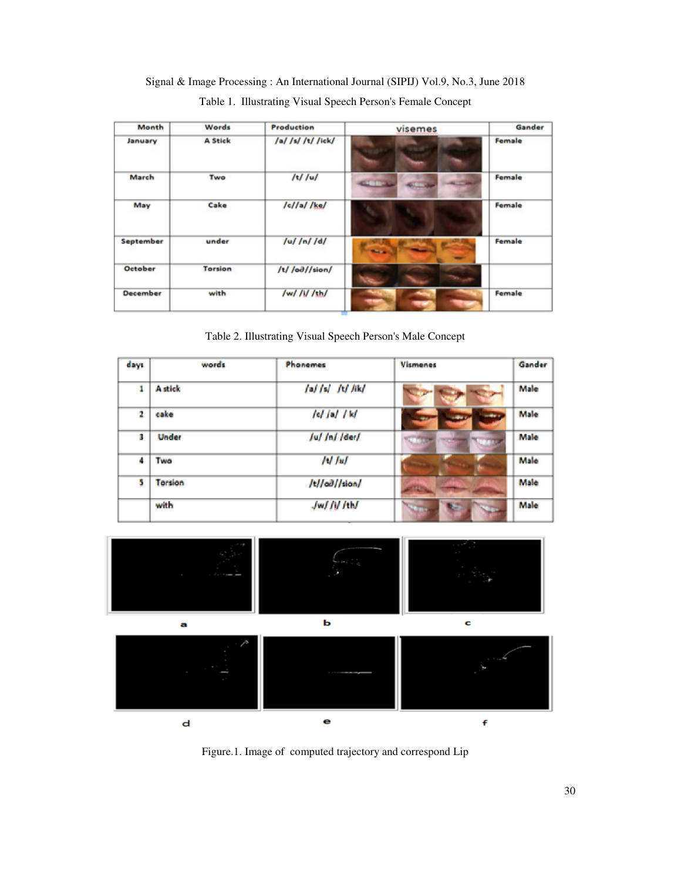Signal & Image Processing : An International Journal (SIPIJ) Vol.9, No.3, June 2018 Table 1. Illustrating Visual Speech Person's Female Concept

| Month           | Words          | <b>Production</b>          | visemes             | Gander |
|-----------------|----------------|----------------------------|---------------------|--------|
| January         | <b>A Stick</b> | /a/ /s/ /t/ /ick/          |                     | Female |
| March           | Two            | $/t$ / $u$ /               | <b>GETTING</b>      | Female |
| May             | Cake           | /c//a//ke/                 |                     | Female |
| September       | under          | $\int u / \int n / \int d$ | <b>The Contract</b> | Female |
| October         | <b>Torsion</b> | /t/ /od//sion/             |                     |        |
| <b>December</b> | with           | /w/ /i/ /th/               |                     | Female |

Table 2. Illustrating Visual Speech Person's Male Concept

| days | words          | Phonemes            | <b>Vismenes</b> | Gander |
|------|----------------|---------------------|-----------------|--------|
| 1    | <b>A</b> stick | /a/ /s/ /t/ /ik/    |                 | Male   |
| 2    | cake           | c /a/ k             | <b>SHOW</b>     | Male   |
| 3    | Under          | /u//n//der/         |                 | Male   |
| 4    | Two            | $/$ t $/$ $/$ u $/$ |                 | Male   |
| 5    | Torsion        | /t//od//sion/       |                 | Male   |
|      | with           | Jw/ // /th/         |                 | Male   |



Figure.1. Image of computed trajectory and correspond Lip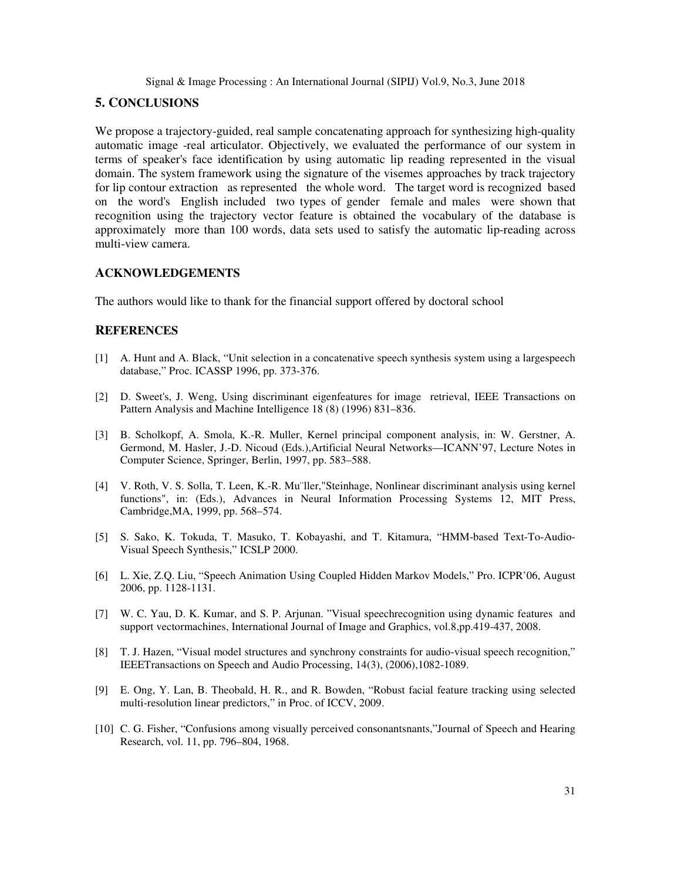## **5. CONCLUSIONS**

We propose a trajectory-guided, real sample concatenating approach for synthesizing high-quality automatic image -real articulator. Objectively, we evaluated the performance of our system in terms of speaker's face identification by using automatic lip reading represented in the visual domain. The system framework using the signature of the visemes approaches by track trajectory for lip contour extraction as represented the whole word. The target word is recognized based on the word's English included two types of gender female and males were shown that recognition using the trajectory vector feature is obtained the vocabulary of the database is approximately more than 100 words, data sets used to satisfy the automatic lip-reading across multi-view camera.

#### **ACKNOWLEDGEMENTS**

The authors would like to thank for the financial support offered by doctoral school

#### **REFERENCES**

- [1] A. Hunt and A. Black, "Unit selection in a concatenative speech synthesis system using a largespeech database," Proc. ICASSP 1996, pp. 373-376.
- [2] D. Sweet's, J. Weng, Using discriminant eigenfeatures for image retrieval, IEEE Transactions on Pattern Analysis and Machine Intelligence 18 (8) (1996) 831–836.
- [3] B. Scholkopf, A. Smola, K.-R. Muller, Kernel principal component analysis, in: W. Gerstner, A. Germond, M. Hasler, J.-D. Nicoud (Eds.),Artificial Neural Networks—ICANN'97, Lecture Notes in Computer Science, Springer, Berlin, 1997, pp. 583–588.
- [4] V. Roth, V. S. Solla, T. Leen, K.-R. Mu¨ller,"Steinhage, Nonlinear discriminant analysis using kernel functions", in: (Eds.), Advances in Neural Information Processing Systems 12, MIT Press, Cambridge,MA, 1999, pp. 568–574.
- [5] S. Sako, K. Tokuda, T. Masuko, T. Kobayashi, and T. Kitamura, "HMM-based Text-To-Audio-Visual Speech Synthesis," ICSLP 2000.
- [6] L. Xie, Z.Q. Liu, "Speech Animation Using Coupled Hidden Markov Models," Pro. ICPR'06, August 2006, pp. 1128-1131.
- [7] W. C. Yau, D. K. Kumar, and S. P. Arjunan. "Visual speechrecognition using dynamic features and support vectormachines, International Journal of Image and Graphics, vol.8,pp.419-437, 2008.
- [8] T. J. Hazen, "Visual model structures and synchrony constraints for audio-visual speech recognition," IEEETransactions on Speech and Audio Processing, 14(3), (2006),1082-1089.
- [9] E. Ong, Y. Lan, B. Theobald, H. R., and R. Bowden, "Robust facial feature tracking using selected multi-resolution linear predictors," in Proc. of ICCV, 2009.
- [10] C. G. Fisher, "Confusions among visually perceived consonantsnants,"Journal of Speech and Hearing Research, vol. 11, pp. 796–804, 1968.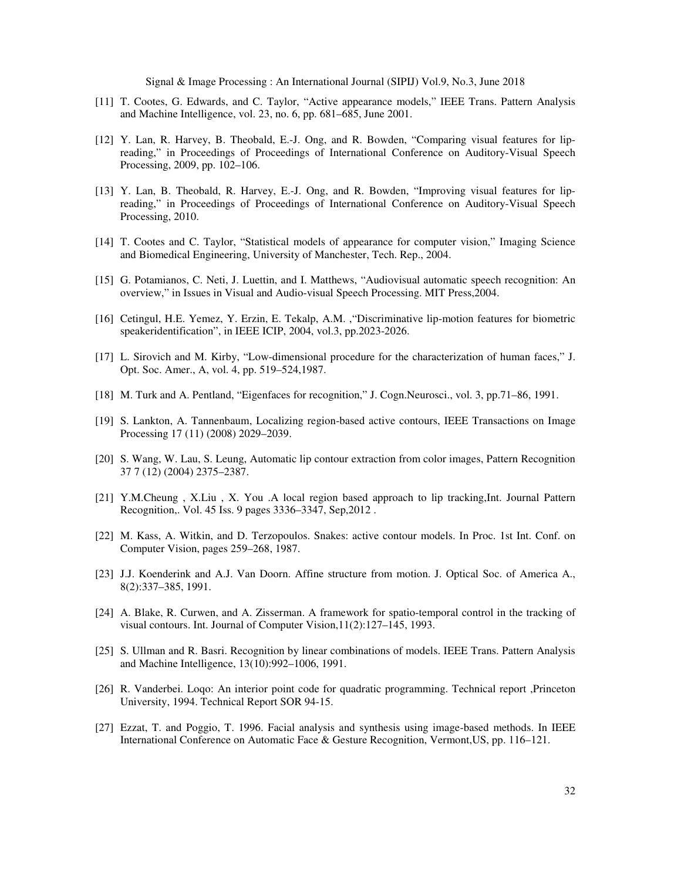- [11] T. Cootes, G. Edwards, and C. Taylor, "Active appearance models," IEEE Trans. Pattern Analysis and Machine Intelligence, vol. 23, no. 6, pp. 681–685, June 2001.
- [12] Y. Lan, R. Harvey, B. Theobald, E.-J. Ong, and R. Bowden, "Comparing visual features for lipreading," in Proceedings of Proceedings of International Conference on Auditory-Visual Speech Processing, 2009, pp. 102–106.
- [13] Y. Lan, B. Theobald, R. Harvey, E.-J. Ong, and R. Bowden, "Improving visual features for lipreading," in Proceedings of Proceedings of International Conference on Auditory-Visual Speech Processing, 2010.
- [14] T. Cootes and C. Taylor, "Statistical models of appearance for computer vision," Imaging Science and Biomedical Engineering, University of Manchester, Tech. Rep., 2004.
- [15] G. Potamianos, C. Neti, J. Luettin, and I. Matthews, "Audiovisual automatic speech recognition: An overview," in Issues in Visual and Audio-visual Speech Processing. MIT Press,2004.
- [16] Cetingul, H.E. Yemez, Y. Erzin, E. Tekalp, A.M. ,"Discriminative lip-motion features for biometric speakeridentification", in IEEE ICIP, 2004, vol.3, pp.2023-2026.
- [17] L. Sirovich and M. Kirby, "Low-dimensional procedure for the characterization of human faces," J. Opt. Soc. Amer., A, vol. 4, pp. 519–524,1987.
- [18] M. Turk and A. Pentland, "Eigenfaces for recognition," J. Cogn.Neurosci., vol. 3, pp.71–86, 1991.
- [19] S. Lankton, A. Tannenbaum, Localizing region-based active contours, IEEE Transactions on Image Processing 17 (11) (2008) 2029–2039.
- [20] S. Wang, W. Lau, S. Leung, Automatic lip contour extraction from color images, Pattern Recognition 37 7 (12) (2004) 2375–2387.
- [21] Y.M.Cheung , X.Liu , X. You .A local region based approach to lip tracking,Int. Journal Pattern Recognition,. Vol. 45 Iss. 9 pages 3336–3347, Sep,2012 .
- [22] M. Kass, A. Witkin, and D. Terzopoulos. Snakes: active contour models. In Proc. 1st Int. Conf. on Computer Vision, pages 259–268, 1987.
- [23] J.J. Koenderink and A.J. Van Doorn. Affine structure from motion. J. Optical Soc. of America A., 8(2):337–385, 1991.
- [24] A. Blake, R. Curwen, and A. Zisserman. A framework for spatio-temporal control in the tracking of visual contours. Int. Journal of Computer Vision,11(2):127–145, 1993.
- [25] S. Ullman and R. Basri. Recognition by linear combinations of models. IEEE Trans. Pattern Analysis and Machine Intelligence, 13(10):992–1006, 1991.
- [26] R. Vanderbei. Loqo: An interior point code for quadratic programming. Technical report ,Princeton University, 1994. Technical Report SOR 94-15.
- [27] Ezzat, T. and Poggio, T. 1996. Facial analysis and synthesis using image-based methods. In IEEE International Conference on Automatic Face & Gesture Recognition, Vermont,US, pp. 116–121.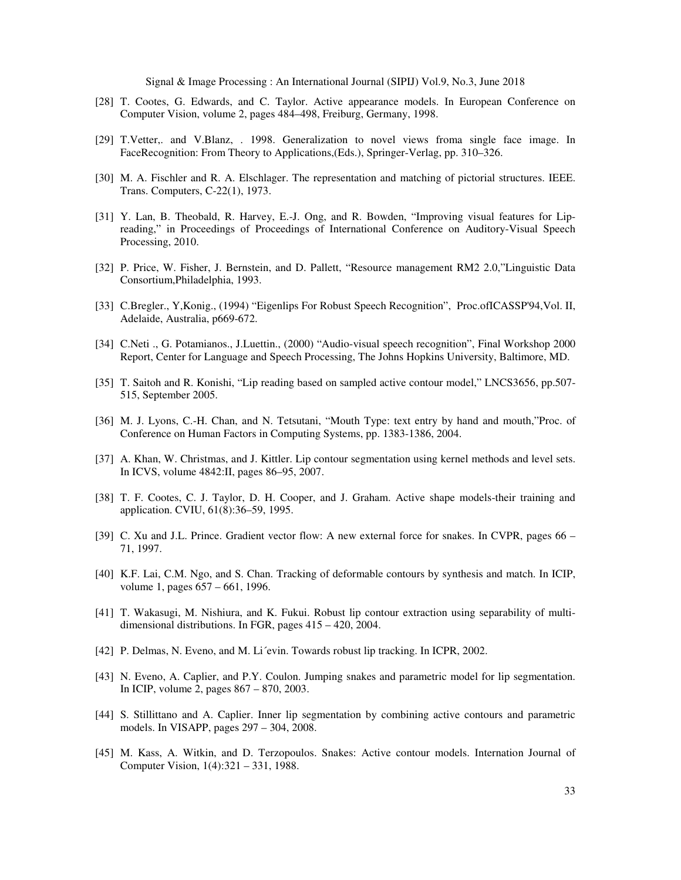- [28] T. Cootes, G. Edwards, and C. Taylor. Active appearance models. In European Conference on Computer Vision, volume 2, pages 484–498, Freiburg, Germany, 1998.
- [29] T.Vetter,. and V.Blanz, . 1998. Generalization to novel views froma single face image. In FaceRecognition: From Theory to Applications,(Eds.), Springer-Verlag, pp. 310–326.
- [30] M. A. Fischler and R. A. Elschlager. The representation and matching of pictorial structures. IEEE. Trans. Computers, C-22(1), 1973.
- [31] Y. Lan, B. Theobald, R. Harvey, E.-J. Ong, and R. Bowden, "Improving visual features for Lipreading," in Proceedings of Proceedings of International Conference on Auditory-Visual Speech Processing, 2010.
- [32] P. Price, W. Fisher, J. Bernstein, and D. Pallett, "Resource management RM2 2.0,"Linguistic Data Consortium,Philadelphia, 1993.
- [33] C.Bregler., Y,Konig., (1994) "Eigenlips For Robust Speech Recognition", Proc.ofICASSP'94,Vol. II, Adelaide, Australia, p669-672.
- [34] C.Neti ., G. Potamianos., J.Luettin., (2000) "Audio-visual speech recognition", Final Workshop 2000 Report, Center for Language and Speech Processing, The Johns Hopkins University, Baltimore, MD.
- [35] T. Saitoh and R. Konishi, "Lip reading based on sampled active contour model," LNCS3656, pp.507- 515, September 2005.
- [36] M. J. Lyons, C.-H. Chan, and N. Tetsutani, "Mouth Type: text entry by hand and mouth,"Proc. of Conference on Human Factors in Computing Systems, pp. 1383-1386, 2004.
- [37] A. Khan, W. Christmas, and J. Kittler. Lip contour segmentation using kernel methods and level sets. In ICVS, volume 4842:II, pages 86–95, 2007.
- [38] T. F. Cootes, C. J. Taylor, D. H. Cooper, and J. Graham. Active shape models-their training and application. CVIU, 61(8):36–59, 1995.
- [39] C. Xu and J.L. Prince. Gradient vector flow: A new external force for snakes. In CVPR, pages 66 71, 1997.
- [40] K.F. Lai, C.M. Ngo, and S. Chan. Tracking of deformable contours by synthesis and match. In ICIP, volume 1, pages 657 – 661, 1996.
- [41] T. Wakasugi, M. Nishiura, and K. Fukui. Robust lip contour extraction using separability of multidimensional distributions. In FGR, pages 415 – 420, 2004.
- [42] P. Delmas, N. Eveno, and M. Li´evin. Towards robust lip tracking. In ICPR, 2002.
- [43] N. Eveno, A. Caplier, and P.Y. Coulon. Jumping snakes and parametric model for lip segmentation. In ICIP, volume 2, pages 867 – 870, 2003.
- [44] S. Stillittano and A. Caplier. Inner lip segmentation by combining active contours and parametric models. In VISAPP, pages 297 – 304, 2008.
- [45] M. Kass, A. Witkin, and D. Terzopoulos. Snakes: Active contour models. Internation Journal of Computer Vision, 1(4):321 – 331, 1988.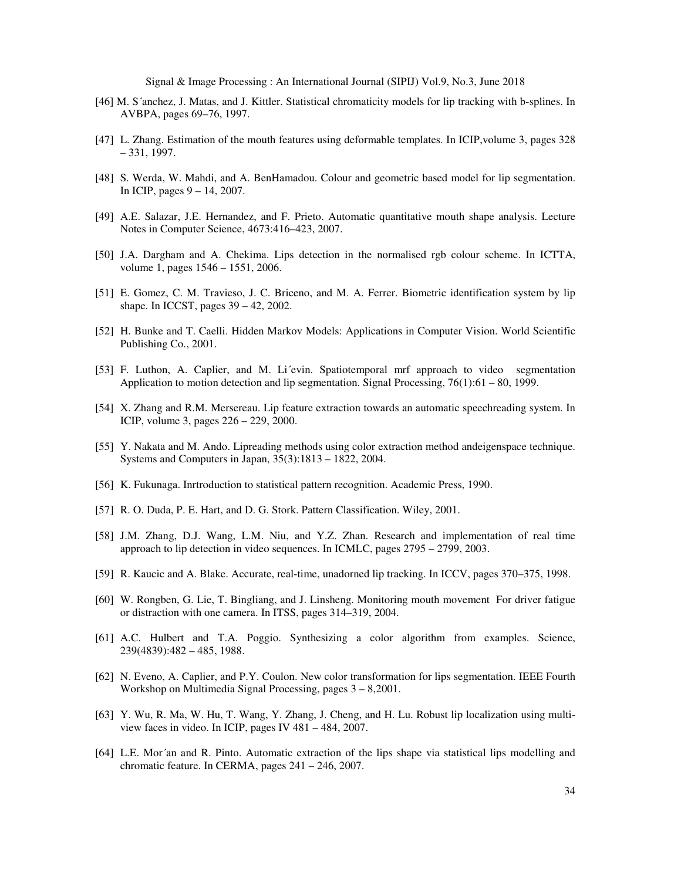- [46] M. S´anchez, J. Matas, and J. Kittler. Statistical chromaticity models for lip tracking with b-splines. In AVBPA, pages 69–76, 1997.
- [47] L. Zhang. Estimation of the mouth features using deformable templates. In ICIP,volume 3, pages 328 – 331, 1997.
- [48] S. Werda, W. Mahdi, and A. BenHamadou. Colour and geometric based model for lip segmentation. In ICIP, pages 9 – 14, 2007.
- [49] A.E. Salazar, J.E. Hernandez, and F. Prieto. Automatic quantitative mouth shape analysis. Lecture Notes in Computer Science, 4673:416–423, 2007.
- [50] J.A. Dargham and A. Chekima. Lips detection in the normalised rgb colour scheme. In ICTTA, volume 1, pages 1546 – 1551, 2006.
- [51] E. Gomez, C. M. Travieso, J. C. Briceno, and M. A. Ferrer. Biometric identification system by lip shape. In ICCST, pages 39 – 42, 2002.
- [52] H. Bunke and T. Caelli. Hidden Markov Models: Applications in Computer Vision. World Scientific Publishing Co., 2001.
- [53] F. Luthon, A. Caplier, and M. Li´evin. Spatiotemporal mrf approach to video segmentation Application to motion detection and lip segmentation. Signal Processing,  $76(1):61 - 80$ , 1999.
- [54] X. Zhang and R.M. Mersereau. Lip feature extraction towards an automatic speechreading system. In ICIP, volume 3, pages 226 – 229, 2000.
- [55] Y. Nakata and M. Ando. Lipreading methods using color extraction method andeigenspace technique. Systems and Computers in Japan, 35(3):1813 – 1822, 2004.
- [56] K. Fukunaga. Inrtroduction to statistical pattern recognition. Academic Press, 1990.
- [57] R. O. Duda, P. E. Hart, and D. G. Stork. Pattern Classification. Wiley, 2001.
- [58] J.M. Zhang, D.J. Wang, L.M. Niu, and Y.Z. Zhan. Research and implementation of real time approach to lip detection in video sequences. In ICMLC, pages 2795 – 2799, 2003.
- [59] R. Kaucic and A. Blake. Accurate, real-time, unadorned lip tracking. In ICCV, pages 370–375, 1998.
- [60] W. Rongben, G. Lie, T. Bingliang, and J. Linsheng. Monitoring mouth movement For driver fatigue or distraction with one camera. In ITSS, pages 314–319, 2004.
- [61] A.C. Hulbert and T.A. Poggio. Synthesizing a color algorithm from examples. Science, 239(4839):482 – 485, 1988.
- [62] N. Eveno, A. Caplier, and P.Y. Coulon. New color transformation for lips segmentation. IEEE Fourth Workshop on Multimedia Signal Processing, pages 3 – 8,2001.
- [63] Y. Wu, R. Ma, W. Hu, T. Wang, Y. Zhang, J. Cheng, and H. Lu. Robust lip localization using multiview faces in video. In ICIP, pages IV 481 – 484, 2007.
- [64] L.E. Mor´an and R. Pinto. Automatic extraction of the lips shape via statistical lips modelling and chromatic feature. In CERMA, pages 241 – 246, 2007.